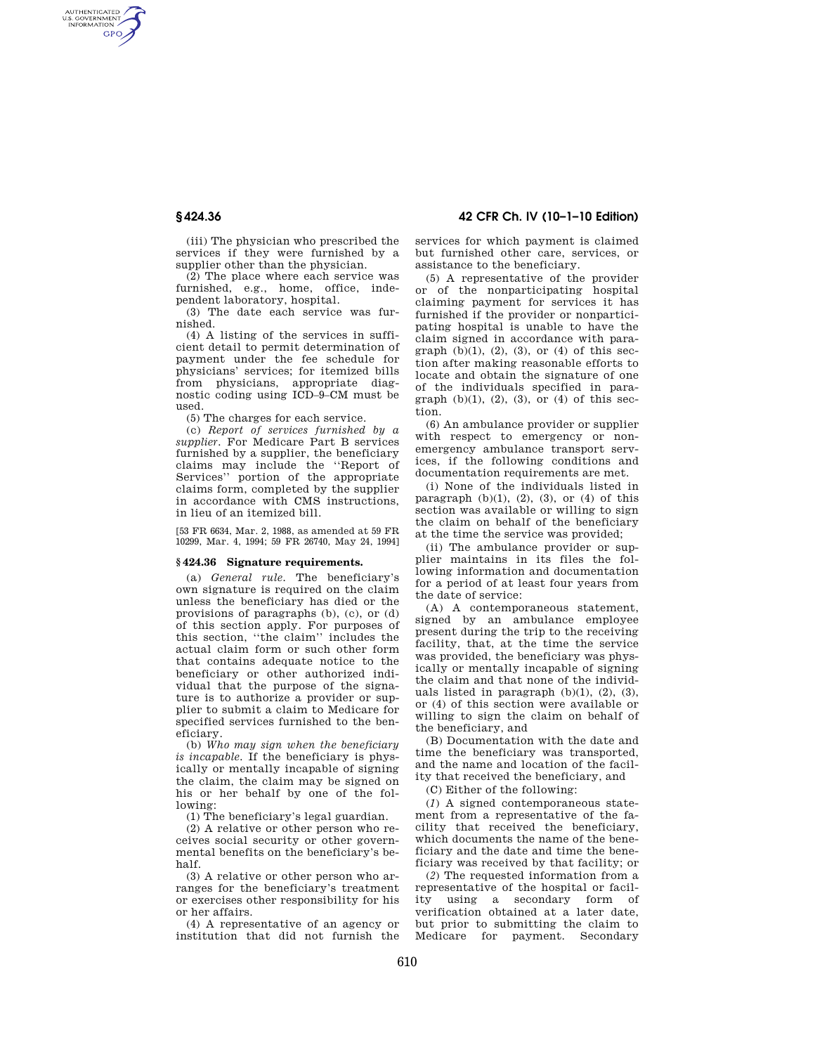AUTHENTICATED<br>U.S. GOVERNMENT<br>INFORMATION **GPO** 

> (iii) The physician who prescribed the services if they were furnished by a supplier other than the physician.

> (2) The place where each service was furnished, e.g., home, office, independent laboratory, hospital.

> (3) The date each service was furnished.

> (4) A listing of the services in sufficient detail to permit determination of payment under the fee schedule for physicians' services; for itemized bills from physicians, appropriate diagnostic coding using ICD–9–CM must be used.

(5) The charges for each service.

(c) *Report of services furnished by a supplier.* For Medicare Part B services furnished by a supplier, the beneficiary claims may include the ''Report of Services'' portion of the appropriate claims form, completed by the supplier in accordance with CMS instructions, in lieu of an itemized bill.

[53 FR 6634, Mar. 2, 1988, as amended at 59 FR 10299, Mar. 4, 1994; 59 FR 26740, May 24, 1994]

## **§ 424.36 Signature requirements.**

(a) *General rule.* The beneficiary's own signature is required on the claim unless the beneficiary has died or the provisions of paragraphs (b), (c), or (d) of this section apply. For purposes of this section, ''the claim'' includes the actual claim form or such other form that contains adequate notice to the beneficiary or other authorized individual that the purpose of the signature is to authorize a provider or supplier to submit a claim to Medicare for specified services furnished to the beneficiary.

(b) *Who may sign when the beneficiary is incapable.* If the beneficiary is physically or mentally incapable of signing the claim, the claim may be signed on his or her behalf by one of the following:

(1) The beneficiary's legal guardian.

(2) A relative or other person who receives social security or other governmental benefits on the beneficiary's behalf.

(3) A relative or other person who arranges for the beneficiary's treatment or exercises other responsibility for his or her affairs.

(4) A representative of an agency or institution that did not furnish the

**§ 424.36 42 CFR Ch. IV (10–1–10 Edition)** 

services for which payment is claimed but furnished other care, services, or assistance to the beneficiary.

(5) A representative of the provider or of the nonparticipating hospital claiming payment for services it has furnished if the provider or nonparticipating hospital is unable to have the claim signed in accordance with paragraph  $(b)(1)$ ,  $(2)$ ,  $(3)$ , or  $(4)$  of this section after making reasonable efforts to locate and obtain the signature of one of the individuals specified in paragraph  $(b)(1)$ ,  $(2)$ ,  $(3)$ , or  $(4)$  of this section.

(6) An ambulance provider or supplier with respect to emergency or nonemergency ambulance transport services, if the following conditions and documentation requirements are met.

(i) None of the individuals listed in paragraph  $(b)(1)$ ,  $(2)$ ,  $(3)$ , or  $(4)$  of this section was available or willing to sign the claim on behalf of the beneficiary at the time the service was provided;

(ii) The ambulance provider or supplier maintains in its files the following information and documentation for a period of at least four years from the date of service:

(A) A contemporaneous statement, signed by an ambulance employee present during the trip to the receiving facility, that, at the time the service was provided, the beneficiary was physically or mentally incapable of signing the claim and that none of the individuals listed in paragraph  $(b)(1)$ ,  $(2)$ ,  $(3)$ , or (4) of this section were available or willing to sign the claim on behalf of the beneficiary, and

(B) Documentation with the date and time the beneficiary was transported, and the name and location of the facility that received the beneficiary, and

(C) Either of the following:

(*1*) A signed contemporaneous statement from a representative of the facility that received the beneficiary, which documents the name of the beneficiary and the date and time the beneficiary was received by that facility; or

(*2*) The requested information from a representative of the hospital or facility using a secondary form of using a secondary form of verification obtained at a later date, but prior to submitting the claim to Medicare for payment. Secondary